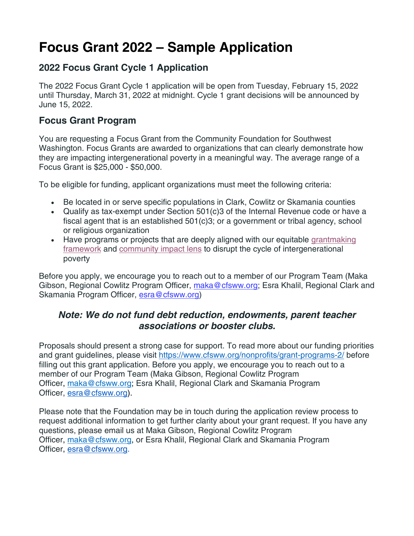# **Focus Grant 2022 – Sample Application**

#### **2022 Focus Grant Cycle 1 Application**

The 2022 Focus Grant Cycle 1 application will be open from Tuesday, February 15, 2022 until Thursday, March 31, 2022 at midnight. Cycle 1 grant decisions will be announced by June 15, 2022.

#### **Focus Grant Program**

You are requesting a Focus Grant from the Community Foundation for Southwest Washington. Focus Grants are awarded to organizations that can clearly demonstrate how they are impacting intergenerational poverty in a meaningful way. The average range of a Focus Grant is \$25,000 - \$50,000.

To be eligible for funding, applicant organizations must meet the following criteria:

- Be located in or serve specific populations in Clark, Cowlitz or Skamania counties
- Qualify as tax-exempt under Section 501(c)3 of the Internal Revenue code or have a fiscal agent that is an established 501(c)3; or a government or tribal agency, school or religious organization
- Have programs or projects that are deeply aligned with our equitable [grantmaking](https://nam04.safelinks.protection.outlook.com/?url=https%3A%2F%2Fwww.cfsww.org%2Fnonprofits%2Fgrantmaking-framework%2F&data=04%7C01%7Cmaka%40cfsww.org%7Cb370131fade241bd0c2108d9e1daa93e%7C12345c3d120b47399ea85d6e02a589b1%7C0%7C0%7C637789151565563604%7CUnknown%7CTWFpbGZsb3d8eyJWIjoiMC4wLjAwMDAiLCJQIjoiV2luMzIiLCJBTiI6Ik1haWwiLCJXVCI6Mn0%3D%7C3000&sdata=Dq%2F8rDtM9KeWRe23okBaHpouGQ4FS%2Fp30th7%2BY%2BNrkM%3D&reserved=0) [framework](https://nam04.safelinks.protection.outlook.com/?url=https%3A%2F%2Fwww.cfsww.org%2Fnonprofits%2Fgrantmaking-framework%2F&data=04%7C01%7Cmaka%40cfsww.org%7Cb370131fade241bd0c2108d9e1daa93e%7C12345c3d120b47399ea85d6e02a589b1%7C0%7C0%7C637789151565563604%7CUnknown%7CTWFpbGZsb3d8eyJWIjoiMC4wLjAwMDAiLCJQIjoiV2luMzIiLCJBTiI6Ik1haWwiLCJXVCI6Mn0%3D%7C3000&sdata=Dq%2F8rDtM9KeWRe23okBaHpouGQ4FS%2Fp30th7%2BY%2BNrkM%3D&reserved=0) and [community](https://nam04.safelinks.protection.outlook.com/?url=https%3A%2F%2Fwww.cfsww.org%2Fnonprofits%2Fgrantmaking-framework%2F%23impact-lens&data=04%7C01%7Cmaka%40cfsww.org%7Cb370131fade241bd0c2108d9e1daa93e%7C12345c3d120b47399ea85d6e02a589b1%7C0%7C0%7C637789151565563604%7CUnknown%7CTWFpbGZsb3d8eyJWIjoiMC4wLjAwMDAiLCJQIjoiV2luMzIiLCJBTiI6Ik1haWwiLCJXVCI6Mn0%3D%7C3000&sdata=np%2FpMAbFUMz86BFyn7X6Tvrh6CygFIblK5fd3hUyqhs%3D&reserved=0) impact lens to disrupt the cycle of intergenerational poverty

Before you apply, we encourage you to reach out to a member of our Program Team (Maka Gibson, Regional Cowlitz Program Officer, [maka@cfsww.org;](https://apply.mykaleidoscope.com/scholarships/focusgrant2022) Esra Khalil, Regional Clark and Skamania Program Officer, [esra@cfsww.org\)](https://apply.mykaleidoscope.com/scholarships/focusgrant2022)

#### *Note: We do not fund debt reduction, endowments, parent teacher associations or booster clubs.*

Proposals should present a strong case for support. To read more about our funding priorities and grant guidelines, please visit <https://www.cfsww.org/nonprofits/grant-programs-2/> before filling out this grant application. Before you apply, we encourage you to reach out to a member of our Program Team (Maka Gibson, Regional Cowlitz Program Officer, [maka@cfsww.org;](mailto:maka@cfsww.org) Esra Khalil, Regional Clark and Skamania Program Officer, [esra@cfsww.org\)](mailto:esra@cfsww.org).

Please note that the Foundation may be in touch during the application review process to request additional information to get further clarity about your grant request. If you have any questions, please email us at Maka Gibson, Regional Cowlitz Program Officer, [maka@cfsww.org,](mailto:maka@cfsww.org) or Esra Khalil, Regional Clark and Skamania Program Officer, [esra@cfsww.org.](mailto:esra@cfsww.org)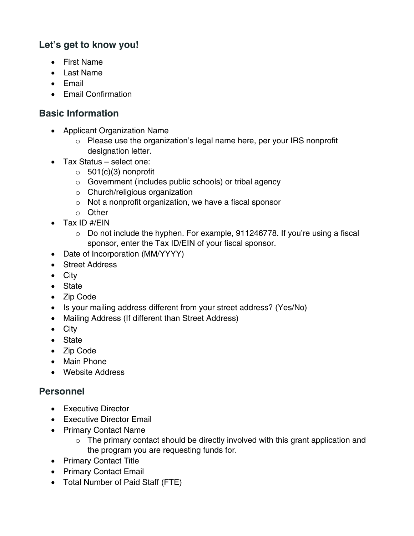## **Let's get to know you!**

- First Name
- Last Name
- Email
- Email Confirmation

# **Basic Information**

- Applicant Organization Name
	- o Please use the organization's legal name here, per your IRS nonprofit designation letter.
- Tax Status select one:
	- $\circ$  501(c)(3) nonprofit
	- o Government (includes public schools) or tribal agency
	- o Church/religious organization
	- o Not a nonprofit organization, we have a fiscal sponsor
	- o Other
- Tax ID #/EIN
	- $\circ$  Do not include the hyphen. For example, 911246778. If you're using a fiscal sponsor, enter the Tax ID/EIN of your fiscal sponsor.
- Date of Incorporation (MM/YYYY)
- Street Address
- City
- State
- Zip Code
- Is your mailing address different from your street address? (Yes/No)
- Mailing Address (If different than Street Address)
- City
- State
- Zip Code
- Main Phone
- Website Address

# **Personnel**

- Executive Director
- Executive Director Email
- Primary Contact Name
	- $\circ$  The primary contact should be directly involved with this grant application and the program you are requesting funds for.
- Primary Contact Title
- Primary Contact Email
- Total Number of Paid Staff (FTE)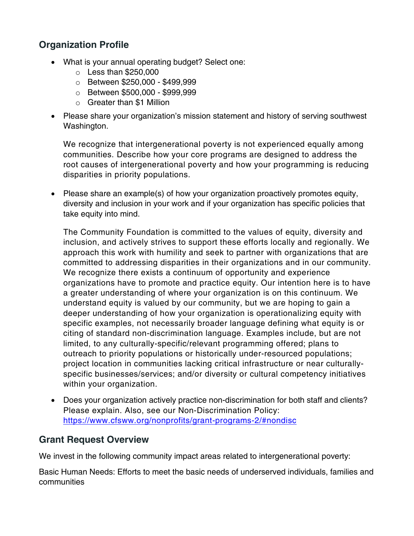## **Organization Profile**

- What is your annual operating budget? Select one:
	- $\circ$  Less than \$250,000
	- o Between \$250,000 \$499,999
	- o Between \$500,000 \$999,999
	- o Greater than \$1 Million
- Please share your organization's mission statement and history of serving southwest Washington.

We recognize that intergenerational poverty is not experienced equally among communities. Describe how your core programs are designed to address the root causes of intergenerational poverty and how your programming is reducing disparities in priority populations.

• Please share an example(s) of how your organization proactively promotes equity, diversity and inclusion in your work and if your organization has specific policies that take equity into mind.

The Community Foundation is committed to the values of equity, diversity and inclusion, and actively strives to support these efforts locally and regionally. We approach this work with humility and seek to partner with organizations that are committed to addressing disparities in their organizations and in our community. We recognize there exists a continuum of opportunity and experience organizations have to promote and practice equity. Our intention here is to have a greater understanding of where your organization is on this continuum. We understand equity is valued by our community, but we are hoping to gain a deeper understanding of how your organization is operationalizing equity with specific examples, not necessarily broader language defining what equity is or citing of standard non-discrimination language. Examples include, but are not limited, to any culturally-specific/relevant programming offered; plans to outreach to priority populations or historically under-resourced populations; project location in communities lacking critical infrastructure or near culturallyspecific businesses/services; and/or diversity or cultural competency initiatives within your organization.

• Does your organization actively practice non-discrimination for both staff and clients? Please explain. Also, see our Non-Discrimination Policy: <https://www.cfsww.org/nonprofits/grant-programs-2/#nondisc>

#### **Grant Request Overview**

We invest in the following community impact areas related to intergenerational poverty:

Basic Human Needs: Efforts to meet the basic needs of underserved individuals, families and communities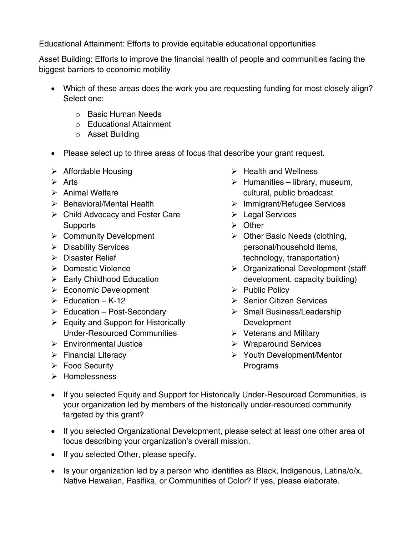Educational Attainment: Efforts to provide equitable educational opportunities

Asset Building: Efforts to improve the financial health of people and communities facing the biggest barriers to economic mobility

- Which of these areas does the work you are requesting funding for most closely align? Select one:
	- o Basic Human Needs
	- o Educational Attainment
	- o Asset Building
- Please select up to three areas of focus that describe your grant request.
- $\triangleright$  Affordable Housing
- $\triangleright$  Arts
- $\triangleright$  Animal Welfare
- $\triangleright$  Behavioral/Mental Health
- Child Advocacy and Foster Care **Supports**
- $\triangleright$  Community Development
- $\triangleright$  Disability Services
- Disaster Relief
- ▶ Domestic Violence
- $\triangleright$  Early Childhood Education
- Economic Development
- $\triangleright$  Fducation K-12
- $\triangleright$  Education Post-Secondary
- $\triangleright$  Equity and Support for Historically Under-Resourced Communities
- Environmental Justice
- $\triangleright$  Financial Literacy
- Food Security
- > Homelessness
- $\triangleright$  Health and Wellness
- $\triangleright$  Humanities library, museum, cultural, public broadcast
- $\triangleright$  Immigrant/Refugee Services
- **E** Legal Services
- **≻** Other
- $\triangleright$  Other Basic Needs (clothing, personal/household items, technology, transportation)
- $\triangleright$  Organizational Development (staff development, capacity building)
- $\triangleright$  Public Policy
- $\triangleright$  Senior Citizen Services
- $\triangleright$  Small Business/Leadership Development
- $\triangleright$  Veterans and Military
- Wraparound Services
- Youth Development/Mentor Programs
- If you selected Equity and Support for Historically Under-Resourced Communities, is your organization led by members of the historically under-resourced community targeted by this grant?
- If you selected Organizational Development, please select at least one other area of focus describing your organization's overall mission.
- If you selected Other, please specify.
- Is your organization led by a person who identifies as Black, Indigenous, Latina/o/x, Native Hawaiian, Pasifika, or Communities of Color? If yes, please elaborate.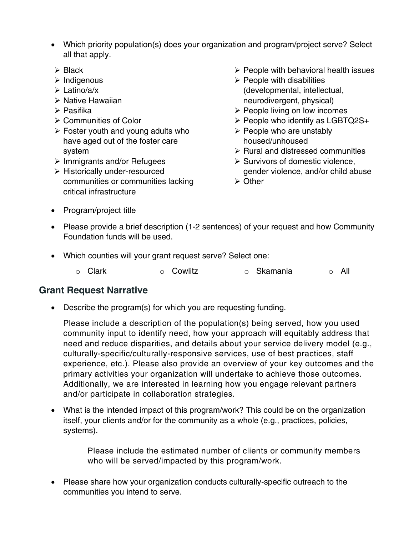- Which priority population(s) does your organization and program/project serve? Select all that apply.
- $\triangleright$  Black
- $\triangleright$  Indigenous
- $\triangleright$  Latino/a/x
- $\triangleright$  Native Hawaiian
- $\triangleright$  Pasifika
- **≻ Communities of Color**
- $\triangleright$  Foster youth and young adults who have aged out of the foster care system
- $\triangleright$  Immigrants and/or Refugees
- Historically under-resourced communities or communities lacking critical infrastructure
- $\triangleright$  People with behavioral health issues
- $\triangleright$  People with disabilities (developmental, intellectual, neurodivergent, physical)
- $\triangleright$  People living on low incomes
- $\triangleright$  People who identify as LGBTQ2S+
- $\triangleright$  People who are unstably housed/unhoused
- $\triangleright$  Rural and distressed communities
- $\triangleright$  Survivors of domestic violence, gender violence, and/or child abuse
- **≻ Other**

- Program/project title
- Please provide a brief description (1-2 sentences) of your request and how Community Foundation funds will be used.
- Which counties will your grant request serve? Select one:
	- o Clark o Cowlitz o Skamania o All

#### **Grant Request Narrative**

• Describe the program(s) for which you are requesting funding.

Please include a description of the population(s) being served, how you used community input to identify need, how your approach will equitably address that need and reduce disparities, and details about your service delivery model (e.g., culturally-specific/culturally-responsive services, use of best practices, staff experience, etc.). Please also provide an overview of your key outcomes and the primary activities your organization will undertake to achieve those outcomes. Additionally, we are interested in learning how you engage relevant partners and/or participate in collaboration strategies.

• What is the intended impact of this program/work? This could be on the organization itself, your clients and/or for the community as a whole (e.g., practices, policies, systems).

> Please include the estimated number of clients or community members who will be served/impacted by this program/work.

• Please share how your organization conducts culturally-specific outreach to the communities you intend to serve.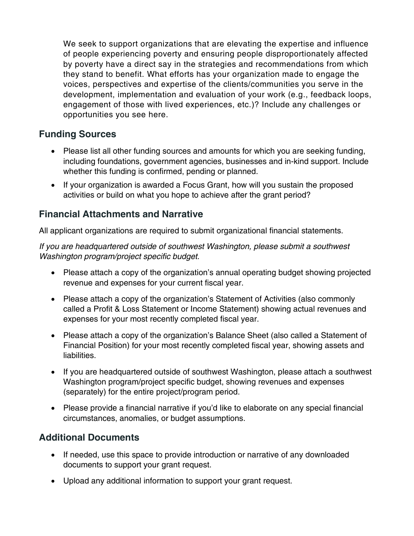We seek to support organizations that are elevating the expertise and influence of people experiencing poverty and ensuring people disproportionately affected by poverty have a direct say in the strategies and recommendations from which they stand to benefit. What efforts has your organization made to engage the voices, perspectives and expertise of the clients/communities you serve in the development, implementation and evaluation of your work (e.g., feedback loops, engagement of those with lived experiences, etc.)? Include any challenges or opportunities you see here.

## **Funding Sources**

- Please list all other funding sources and amounts for which you are seeking funding, including foundations, government agencies, businesses and in-kind support. Include whether this funding is confirmed, pending or planned.
- If your organization is awarded a Focus Grant, how will you sustain the proposed activities or build on what you hope to achieve after the grant period?

## **Financial Attachments and Narrative**

All applicant organizations are required to submit organizational financial statements.

*If you are headquartered outside of southwest Washington, please submit a southwest Washington program/project specific budget.*

- Please attach a copy of the organization's annual operating budget showing projected revenue and expenses for your current fiscal year.
- Please attach a copy of the organization's Statement of Activities (also commonly called a Profit & Loss Statement or Income Statement) showing actual revenues and expenses for your most recently completed fiscal year.
- Please attach a copy of the organization's Balance Sheet (also called a Statement of Financial Position) for your most recently completed fiscal year, showing assets and liabilities.
- If you are headquartered outside of southwest Washington, please attach a southwest Washington program/project specific budget, showing revenues and expenses (separately) for the entire project/program period.
- Please provide a financial narrative if you'd like to elaborate on any special financial circumstances, anomalies, or budget assumptions.

## **Additional Documents**

- If needed, use this space to provide introduction or narrative of any downloaded documents to support your grant request.
- Upload any additional information to support your grant request.